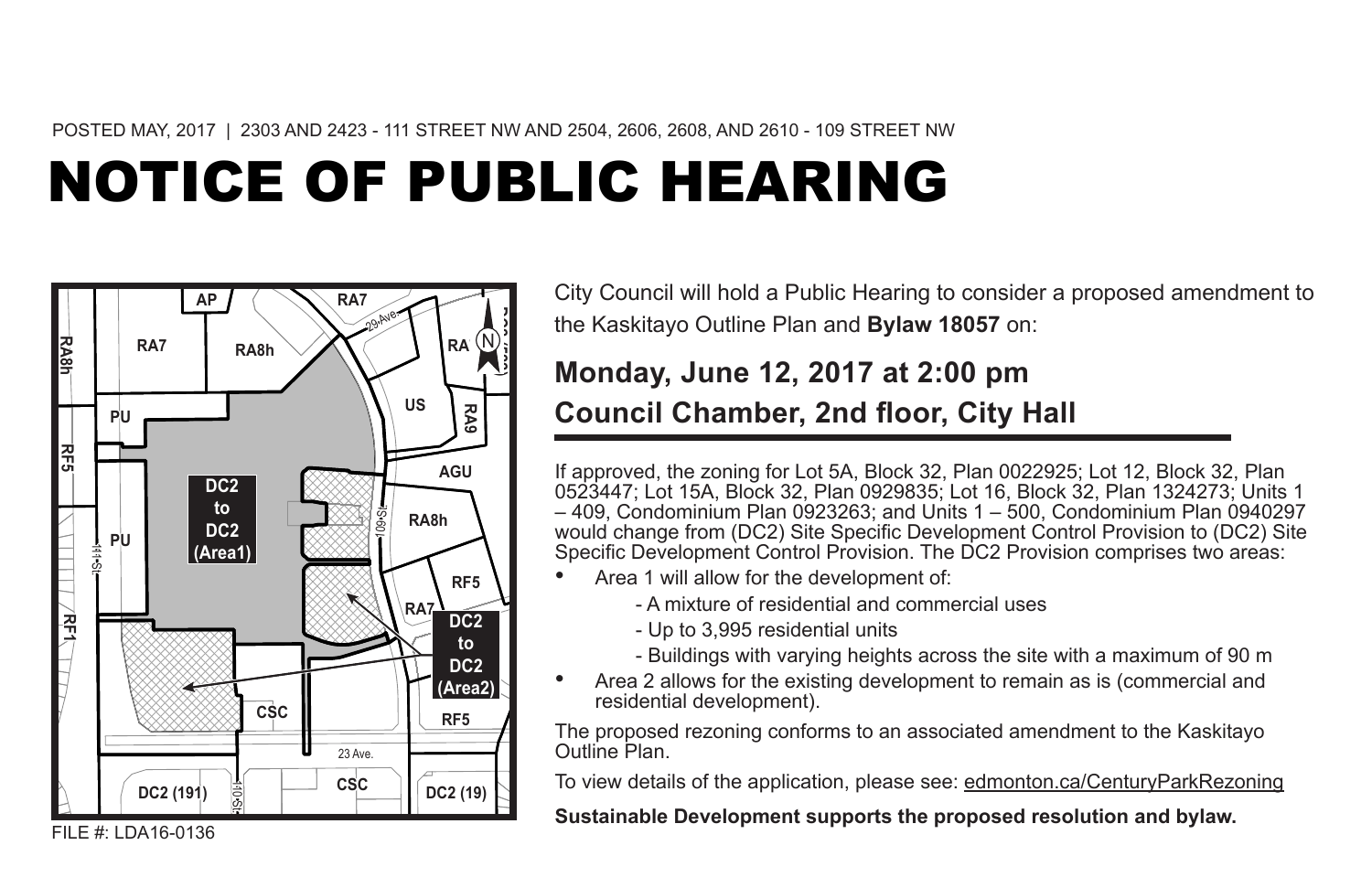POSTED MAY, 2017 | 2303 AND 2423 - 111 STREET NW AND 2504, 2606, 2608, AND 2610 - 109 STREET NW

# NOTICE OF PUBLIC HEARING



City Council will hold a Public Hearing to consider a proposed amendment to the Kaskitayo Outline Plan and **Bylaw 18057** on:

### **Monday, June 12, 2017 at 2:00 pm Council Chamber, 2nd floor, City Hall**

If approved, the zoning for Lot 5A, Block 32, Plan 0022925; Lot 12, Block 32, Plan 0523447; Lot 15A, Block 32, Plan 0929835; Lot 16, Block 32, Plan 1324273; Units 1 – 409, Condominium Plan 0923263; and Units 1 – 500, Condominium Plan 0940297 would change from (DC2) Site Specific Development Control Provision to (DC2) Site Specific Development Control Provision. The DC2 Provision comprises two areas:

- Area 1 will allow for the development of:
	- A mixture of residential and commercial uses
	- Up to 3,995 residential units
	- Buildings with varying heights across the site with a maximum of 90 m
- Area 2 allows for the existing development to remain as is (commercial and residential development).

The proposed rezoning conforms to an associated amendment to the Kaskitayo Outline Plan.

To view details of the application, please see: edmonton.ca/CenturyParkRezoning

**Sustainable Development supports the proposed resolution and bylaw.**